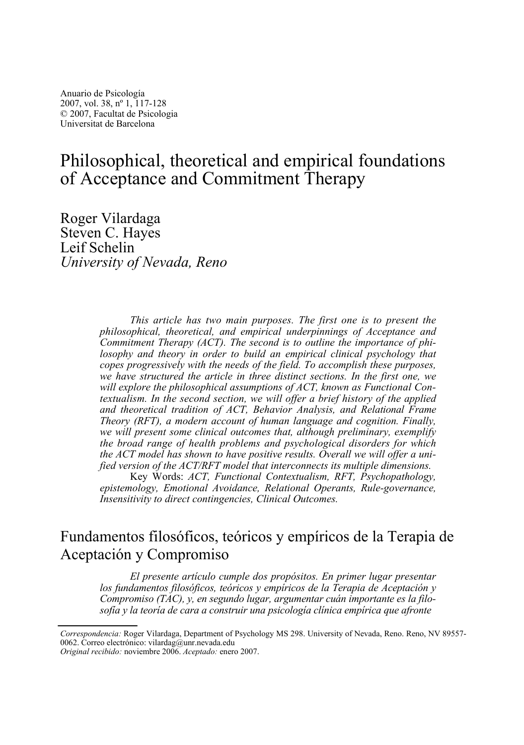# Philosophical, theoretical and empirical foundations of Acceptance and Commitment Therapy

Roger Vilardaga Steven C. Hayes Leif Schelin *University of Nevada, Reno* 

> *This article has two main purposes. The first one is to present the philosophical, theoretical, and empirical underpinnings of Acceptance and Commitment Therapy (ACT). The second is to outline the importance of philosophy and theory in order to build an empirical clinical psychology that copes progressively with the needs of the field. To accomplish these purposes, we have structured the article in three distinct sections. In the first one, we will explore the philosophical assumptions of ACT, known as Functional Contextualism. In the second section, we will offer a brief history of the applied and theoretical tradition of ACT, Behavior Analysis, and Relational Frame Theory (RFT), a modern account of human language and cognition. Finally, we will present some clinical outcomes that, although preliminary, exemplify the broad range of health problems and psychological disorders for which the ACT model has shown to have positive results. Overall we will offer a unified version of the ACT/RFT model that interconnects its multiple dimensions.*

> Key Words: *ACT, Functional Contextualism, RFT, Psychopathology, epistemology, Emotional Avoidance, Relational Operants, Rule-governance, Insensitivity to direct contingencies, Clinical Outcomes.*

## Fundamentos filosóficos, teóricos y empíricos de la Terapia de Aceptación y Compromiso

*El presente artículo cumple dos propósitos. En primer lugar presentar los fundamentos filosóficos, teóricos y empíricos de la Terapia de Aceptación y Compromiso (TAC), y, en segundo lugar, argumentar cuán importante es la filosofía y la teoría de cara a construir una psicología clínica empírica que afronte* 

*Correspondencia:* Roger Vilardaga, Department of Psychology MS 298. University of Nevada, Reno. Reno, NV 89557- 0062. Correo electrónico: vilardag@unr.nevada.edu

*Original recibido:* noviembre 2006. *Aceptado:* enero 2007.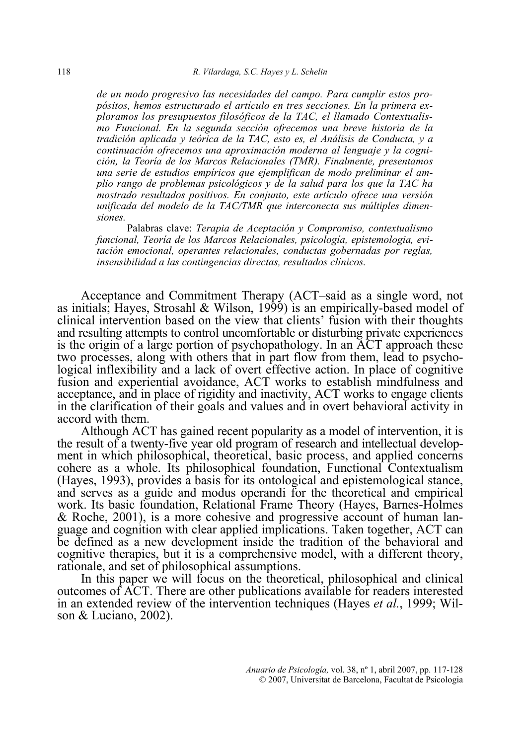*de un modo progresivo las necesidades del campo. Para cumplir estos propósitos, hemos estructurado el artículo en tres secciones. En la primera exploramos los presupuestos filosóficos de la TAC, el llamado Contextualismo Funcional. En la segunda sección ofrecemos una breve historia de la tradición aplicada y teórica de la TAC, esto es, el Análisis de Conducta, y a continuación ofrecemos una aproximación moderna al lenguaje y la cognición, la Teoría de los Marcos Relacionales (TMR). Finalmente, presentamos una serie de estudios empíricos que ejemplifican de modo preliminar el amplio rango de problemas psicológicos y de la salud para los que la TAC ha mostrado resultados positivos. En conjunto, este artículo ofrece una versión unificada del modelo de la TAC/TMR que interconecta sus múltiples dimensiones.* 

Palabras clave: *Terapia de Aceptación y Compromiso, contextualismo funcional, Teoría de los Marcos Relacionales, psicología, epistemologia, evitación emocional, operantes relacionales, conductas gobernadas por reglas, insensibilidad a las contingencias directas, resultados clínicos.* 

 Acceptance and Commitment Therapy (ACT–said as a single word, not as initials; Hayes, Strosahl & Wilson, 1999) is an empirically-based model of clinical intervention based on the view that clients' fusion with their thoughts and resulting attempts to control uncomfortable or disturbing private experiences is the origin of a large portion of psychopathology. In an ACT approach these two processes, along with others that in part flow from them, lead to psychological inflexibility and a lack of overt effective action. In place of cognitive fusion and experiential avoidance, ACT works to establish mindfulness and acceptance, and in place of rigidity and inactivity, ACT works to engage clients in the clarification of their goals and values and in overt behavioral activity in accord with them.

 Although ACT has gained recent popularity as a model of intervention, it is the result of a twenty-five year old program of research and intellectual development in which philosophical, theoretical, basic process, and applied concerns cohere as a whole. Its philosophical foundation, Functional Contextualism (Hayes, 1993), provides a basis for its ontological and epistemological stance, and serves as a guide and modus operandi for the theoretical and empirical work. Its basic foundation, Relational Frame Theory (Hayes, Barnes-Holmes & Roche, 2001), is a more cohesive and progressive account of human language and cognition with clear applied implications. Taken together, ACT can be defined as a new development inside the tradition of the behavioral and cognitive therapies, but it is a comprehensive model, with a different theory, rationale, and set of philosophical assumptions.

 In this paper we will focus on the theoretical, philosophical and clinical outcomes of ACT. There are other publications available for readers interested in an extended review of the intervention techniques (Hayes *et al.*, 1999; Wilson & Luciano, 2002).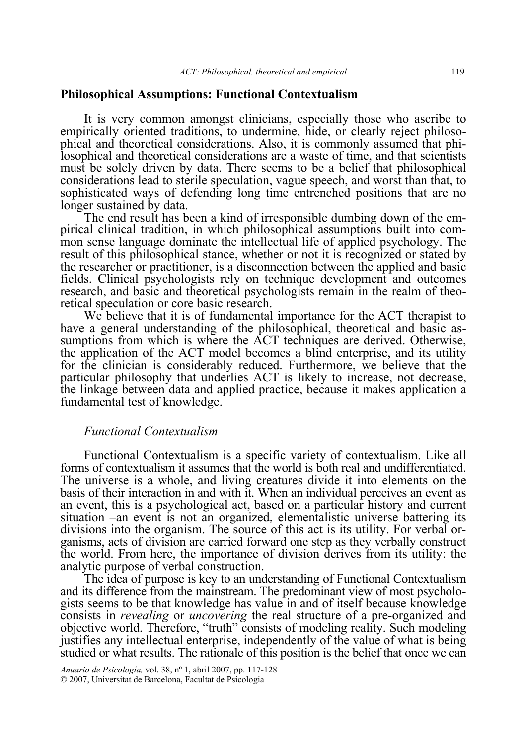#### **Philosophical Assumptions: Functional Contextualism**

 It is very common amongst clinicians, especially those who ascribe to empirically oriented traditions, to undermine, hide, or clearly reject philosophical and theoretical considerations. Also, it is commonly assumed that philosophical and theoretical considerations are a waste of time, and that scientists must be solely driven by data. There seems to be a belief that philosophical considerations lead to sterile speculation, vague speech, and worst than that, to sophisticated ways of defending long time entrenched positions that are no longer sustained by data.

 The end result has been a kind of irresponsible dumbing down of the empirical clinical tradition, in which philosophical assumptions built into common sense language dominate the intellectual life of applied psychology. The result of this philosophical stance, whether or not it is recognized or stated by the researcher or practitioner, is a disconnection between the applied and basic fields. Clinical psychologists rely on technique development and outcomes research, and basic and theoretical psychologists remain in the realm of theoretical speculation or core basic research.

 We believe that it is of fundamental importance for the ACT therapist to have a general understanding of the philosophical, theoretical and basic assumptions from which is where the ACT techniques are derived. Otherwise, the application of the ACT model becomes a blind enterprise, and its utility for the clinician is considerably reduced. Furthermore, we believe that the particular philosophy that underlies ACT is likely to increase, not decrease, the linkage between data and applied practice, because it makes application a fundamental test of knowledge.

## *Functional Contextualism*

Functional Contextualism is a specific variety of contextualism. Like all forms of contextualism it assumes that the world is both real and undifferentiated. The universe is a whole, and living creatures divide it into elements on the basis of their interaction in and with it. When an individual perceives an event as an event, this is a psychological act, based on a particular history and current situation –an event is not an organized, elementalistic universe battering its divisions into the organism. The source of this act is its utility. For verbal organisms, acts of division are carried forward one step as they verbally construct the world. From here, the importance of division derives from its utility: the analytic purpose of verbal construction.

 The idea of purpose is key to an understanding of Functional Contextualism and its difference from the mainstream. The predominant view of most psychologists seems to be that knowledge has value in and of itself because knowledge consists in *revealing* or *uncovering* the real structure of a pre-organized and objective world. Therefore, "truth" consists of modeling reality. Such modeling justifies any intellectual enterprise, independently of the value of what is being studied or what results. The rationale of this position is the belief that once we can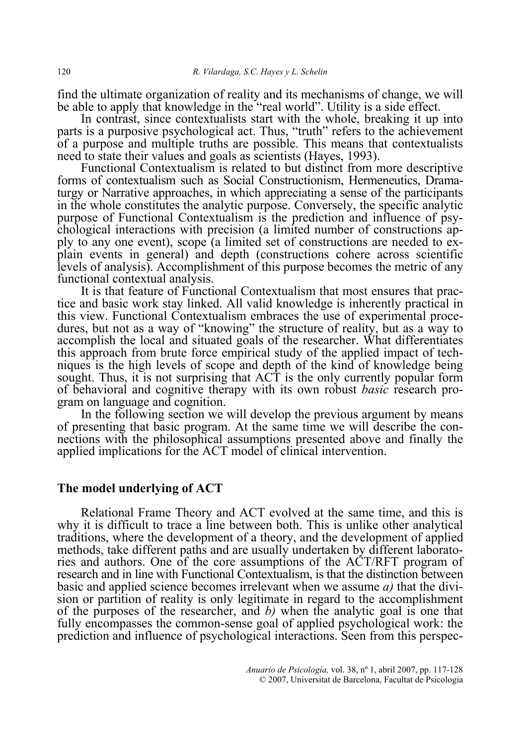find the ultimate organization of reality and its mechanisms of change, we will be able to apply that knowledge in the "real world". Utility is a side effect.

 In contrast, since contextualists start with the whole, breaking it up into parts is a purposive psychological act. Thus, "truth" refers to the achievement of a purpose and multiple truths are possible. This means that contextualists need to state their values and goals as scientists (Hayes, 1993).

 Functional Contextualism is related to but distinct from more descriptive forms of contextualism such as Social Constructionism, Hermeneutics, Dramaturgy or Narrative approaches, in which appreciating a sense of the participants in the whole constitutes the analytic purpose. Conversely, the specific analytic purpose of Functional Contextualism is the prediction and influence of psychological interactions with precision (a limited number of constructions apply to any one event), scope (a limited set of constructions are needed to explain events in general) and depth (constructions cohere across scientific levels of analysis). Accomplishment of this purpose becomes the metric of any functional contextual analysis.

 It is that feature of Functional Contextualism that most ensures that practice and basic work stay linked. All valid knowledge is inherently practical in this view. Functional Contextualism embraces the use of experimental procedures, but not as a way of "knowing" the structure of reality, but as a way to accomplish the local and situated goals of the researcher. What differentiates this approach from brute force empirical study of the applied impact of techniques is the high levels of scope and depth of the kind of knowledge being sought. Thus, it is not surprising that ACT is the only currently popular form of behavioral and cognitive therapy with its own robust *basic* research program on language and cognition.

 In the following section we will develop the previous argument by means of presenting that basic program. At the same time we will describe the connections with the philosophical assumptions presented above and finally the applied implications for the ACT model of clinical intervention.

### **The model underlying of ACT**

 Relational Frame Theory and ACT evolved at the same time, and this is why it is difficult to trace a line between both. This is unlike other analytical traditions, where the development of a theory, and the development of applied methods, take different paths and are usually undertaken by different laboratories and authors. One of the core assumptions of the ACT/RFT program of research and in line with Functional Contextualism, is that the distinction between basic and applied science becomes irrelevant when we assume *a)* that the division or partition of reality is only legitimate in regard to the accomplishment of the purposes of the researcher, and *b)* when the analytic goal is one that fully encompasses the common-sense goal of applied psychological work: the prediction and influence of psychological interactions. Seen from this perspec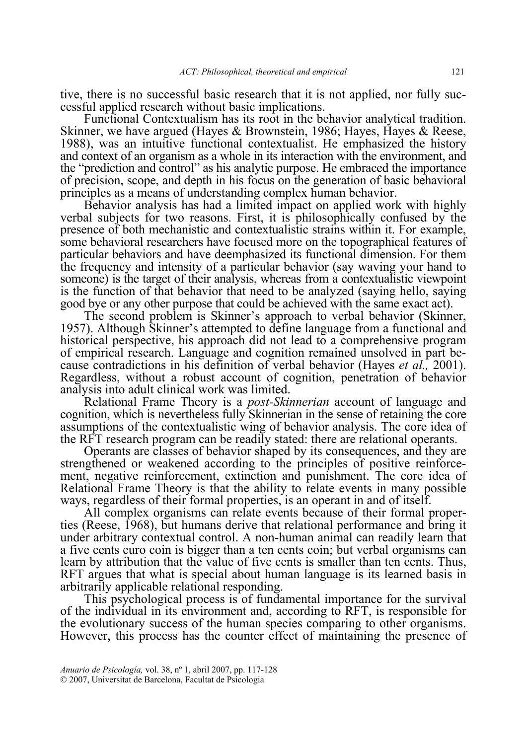tive, there is no successful basic research that it is not applied, nor fully successful applied research without basic implications.

 Functional Contextualism has its root in the behavior analytical tradition. Skinner, we have argued (Hayes & Brownstein, 1986; Hayes, Hayes & Reese, 1988), was an intuitive functional contextualist. He emphasized the history and context of an organism as a whole in its interaction with the environment, and the "prediction and control" as his analytic purpose. He embraced the importance of precision, scope, and depth in his focus on the generation of basic behavioral principles as a means of understanding complex human behavior.

 Behavior analysis has had a limited impact on applied work with highly verbal subjects for two reasons. First, it is philosophically confused by the presence of both mechanistic and contextualistic strains within it. For example, some behavioral researchers have focused more on the topographical features of particular behaviors and have deemphasized its functional dimension. For them the frequency and intensity of a particular behavior (say waving your hand to someone) is the target of their analysis, whereas from a contextualistic viewpoint is the function of that behavior that need to be analyzed (saying hello, saying good bye or any other purpose that could be achieved with the same exact act).

 The second problem is Skinner's approach to verbal behavior (Skinner, 1957). Although Skinner's attempted to define language from a functional and historical perspective, his approach did not lead to a comprehensive program of empirical research. Language and cognition remained unsolved in part because contradictions in his definition of verbal behavior (Hayes *et al.,* 2001). Regardless, without a robust account of cognition, penetration of behavior analysis into adult clinical work was limited.

 Relational Frame Theory is a *post-Skinnerian* account of language and cognition, which is nevertheless fully Skinnerian in the sense of retaining the core assumptions of the contextualistic wing of behavior analysis. The core idea of the RFT research program can be readily stated: there are relational operants.

 Operants are classes of behavior shaped by its consequences, and they are strengthened or weakened according to the principles of positive reinforcement, negative reinforcement, extinction and punishment. The core idea of Relational Frame Theory is that the ability to relate events in many possible ways, regardless of their formal properties, is an operant in and of itself.

 All complex organisms can relate events because of their formal properties (Reese, 1968), but humans derive that relational performance and bring it under arbitrary contextual control. A non-human animal can readily learn that a five cents euro coin is bigger than a ten cents coin; but verbal organisms can learn by attribution that the value of five cents is smaller than ten cents. Thus, RFT argues that what is special about human language is its learned basis in arbitrarily applicable relational responding.

 This psychological process is of fundamental importance for the survival of the individual in its environment and, according to RFT, is responsible for the evolutionary success of the human species comparing to other organisms. However, this process has the counter effect of maintaining the presence of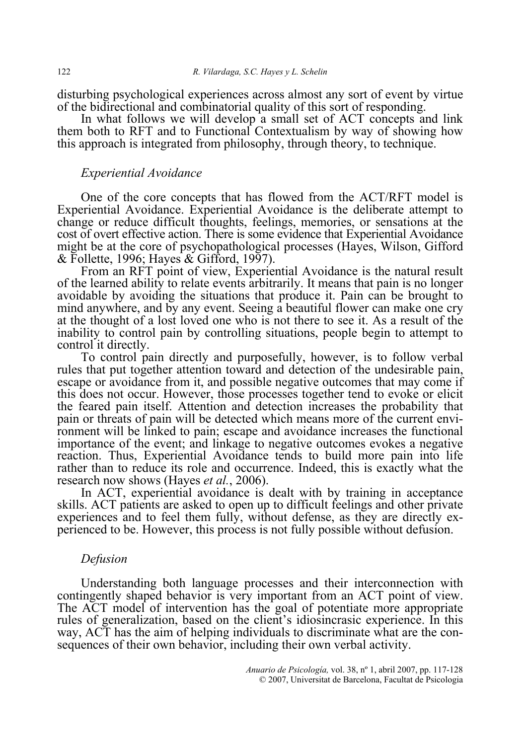disturbing psychological experiences across almost any sort of event by virtue of the bidirectional and combinatorial quality of this sort of responding.

In what follows we will develop a small set of ACT concepts and link them both to RFT and to Functional Contextualism by way of showing how this approach is integrated from philosophy, through theory, to technique.

#### *Experiential Avoidance*

 One of the core concepts that has flowed from the ACT/RFT model is Experiential Avoidance. Experiential Avoidance is the deliberate attempt to change or reduce difficult thoughts, feelings, memories, or sensations at the cost of overt effective action. There is some evidence that Experiential Avoidance might be at the core of psychopathological processes (Hayes, Wilson, Gifford  $&$  Follette, 1996; Hayes  $&$  Gifford, 1997).

 From an RFT point of view, Experiential Avoidance is the natural result of the learned ability to relate events arbitrarily. It means that pain is no longer avoidable by avoiding the situations that produce it. Pain can be brought to mind anywhere, and by any event. Seeing a beautiful flower can make one cry at the thought of a lost loved one who is not there to see it. As a result of the inability to control pain by controlling situations, people begin to attempt to control it directly.

 To control pain directly and purposefully, however, is to follow verbal rules that put together attention toward and detection of the undesirable pain, escape or avoidance from it, and possible negative outcomes that may come if this does not occur. However, those processes together tend to evoke or elicit the feared pain itself. Attention and detection increases the probability that pain or threats of pain will be detected which means more of the current environment will be linked to pain; escape and avoidance increases the functional importance of the event; and linkage to negative outcomes evokes a negative reaction. Thus, Experiential Avoidance tends to build more pain into life rather than to reduce its role and occurrence. Indeed, this is exactly what the research now shows (Hayes *et al.*, 2006).

 In ACT, experiential avoidance is dealt with by training in acceptance skills. ACT patients are asked to open up to difficult feelings and other private experiences and to feel them fully, without defense, as they are directly experienced to be. However, this process is not fully possible without defusion.

## *Defusion*

Understanding both language processes and their interconnection with contingently shaped behavior is very important from an ACT point of view. The ACT model of intervention has the goal of potentiate more appropriate rules of generalization, based on the client's idiosincrasic experience. In this way, ACT has the aim of helping individuals to discriminate what are the consequences of their own behavior, including their own verbal activity.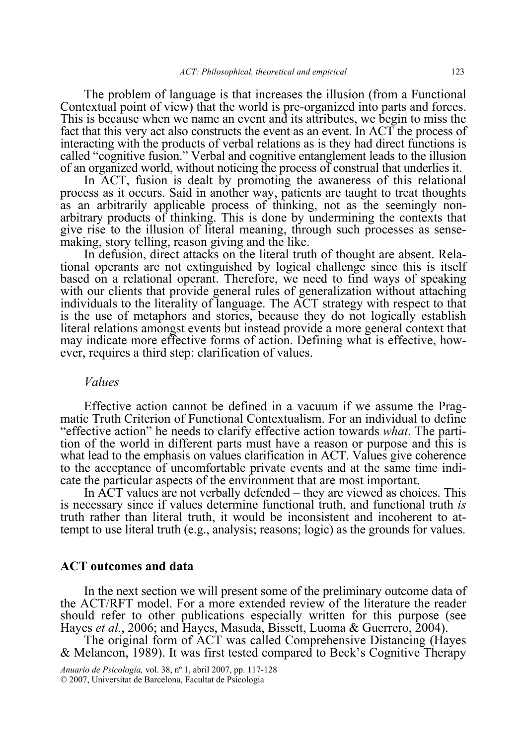The problem of language is that increases the illusion (from a Functional Contextual point of view) that the world is pre-organized into parts and forces. This is because when we name an event and its attributes, we begin to miss the fact that this very act also constructs the event as an event. In ACT the process of interacting with the products of verbal relations as is they had direct functions is called "cognitive fusion." Verbal and cognitive entanglement leads to the illusion of an organized world, without noticing the process of construal that underlies it.

 In ACT, fusion is dealt by promoting the awaneress of this relational process as it occurs. Said in another way, patients are taught to treat thoughts as an arbitrarily applicable process of thinking, not as the seemingly nonarbitrary products of thinking. This is done by undermining the contexts that give rise to the illusion of literal meaning, through such processes as sensemaking, story telling, reason giving and the like.

 In defusion, direct attacks on the literal truth of thought are absent. Relational operants are not extinguished by logical challenge since this is itself based on a relational operant. Therefore, we need to find ways of speaking with our clients that provide general rules of generalization without attaching individuals to the literality of language. The ACT strategy with respect to that is the use of metaphors and stories, because they do not logically establish literal relations amongst events but instead provide a more general context that may indicate more effective forms of action. Defining what is effective, however, requires a third step: clarification of values.

### *Values*

Effective action cannot be defined in a vacuum if we assume the Pragmatic Truth Criterion of Functional Contextualism. For an individual to define "effective action" he needs to clarify effective action towards *what*. The partition of the world in different parts must have a reason or purpose and this is what lead to the emphasis on values clarification in ACT. Values give coherence to the acceptance of uncomfortable private events and at the same time indicate the particular aspects of the environment that are most important.

 In ACT values are not verbally defended – they are viewed as choices. This is necessary since if values determine functional truth, and functional truth *is* truth rather than literal truth, it would be inconsistent and incoherent to attempt to use literal truth (e.g., analysis; reasons; logic) as the grounds for values.

## **ACT outcomes and data**

 In the next section we will present some of the preliminary outcome data of the ACT/RFT model. For a more extended review of the literature the reader should refer to other publications especially written for this purpose (see Hayes *et al.*, 2006; and Hayes, Masuda, Bissett, Luoma & Guerrero, 2004).

 The original form of ACT was called Comprehensive Distancing (Hayes & Melancon, 1989). It was first tested compared to Beck's Cognitive Therapy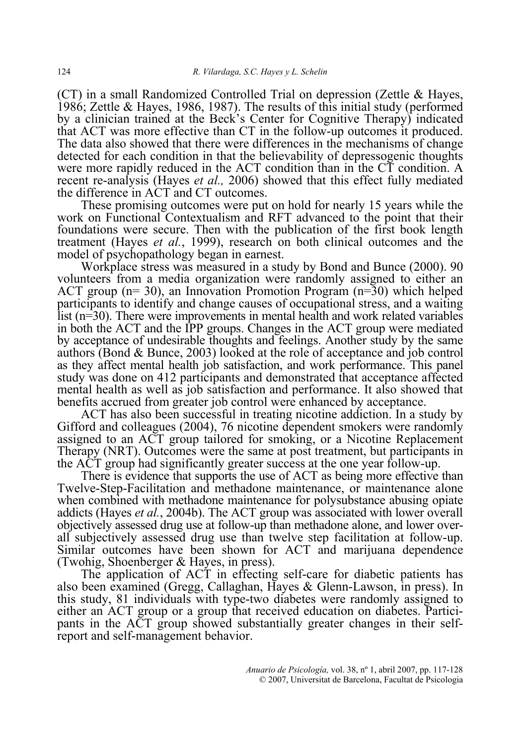(CT) in a small Randomized Controlled Trial on depression (Zettle & Hayes, 1986; Zettle & Hayes, 1986, 1987). The results of this initial study (performed by a clinician trained at the Beck's Center for Cognitive Therapy) indicated that ACT was more effective than CT in the follow-up outcomes it produced. The data also showed that there were differences in the mechanisms of change detected for each condition in that the believability of depressogenic thoughts were more rapidly reduced in the ACT condition than in the CT condition. A recent re-analysis (Hayes *et al.,* 2006) showed that this effect fully mediated the difference in ACT and CT outcomes.

 These promising outcomes were put on hold for nearly 15 years while the work on Functional Contextualism and RFT advanced to the point that their foundations were secure. Then with the publication of the first book length treatment (Hayes *et al.*, 1999), research on both clinical outcomes and the model of psychopathology began in earnest.

 Workplace stress was measured in a study by Bond and Bunce (2000). 90 volunteers from a media organization were randomly assigned to either an ACT group ( $n=30$ ), an Innovation Promotion Program ( $n=30$ ) which helped participants to identify and change causes of occupational stress, and a waiting list (n=30). There were improvements in mental health and work related variables in both the ACT and the IPP groups. Changes in the ACT group were mediated by acceptance of undesirable thoughts and feelings. Another study by the same authors (Bond & Bunce, 2003) looked at the role of acceptance and job control as they affect mental health job satisfaction, and work performance. This panel study was done on 412 participants and demonstrated that acceptance affected mental health as well as job satisfaction and performance. It also showed that benefits accrued from greater job control were enhanced by acceptance.

 ACT has also been successful in treating nicotine addiction. In a study by Gifford and colleagues (2004), 76 nicotine dependent smokers were randomly assigned to an ACT group tailored for smoking, or a Nicotine Replacement Therapy (NRT). Outcomes were the same at post treatment, but participants in the ACT group had significantly greater success at the one year follow-up.

 There is evidence that supports the use of ACT as being more effective than Twelve-Step-Facilitation and methadone maintenance, or maintenance alone when combined with methadone maintenance for polysubstance abusing opiate addicts (Hayes *et al.*, 2004b). The ACT group was associated with lower overall objectively assessed drug use at follow-up than methadone alone, and lower overall subjectively assessed drug use than twelve step facilitation at follow-up. Similar outcomes have been shown for ACT and marijuana dependence (Twohig, Shoenberger & Hayes, in press).

 The application of ACT in effecting self-care for diabetic patients has also been examined (Gregg, Callaghan, Hayes & Glenn-Lawson, in press). In this study, 81 individuals with type-two diabetes were randomly assigned to either an ACT group or a group that received education on diabetes. Participants in the ACT group showed substantially greater changes in their selfreport and self-management behavior.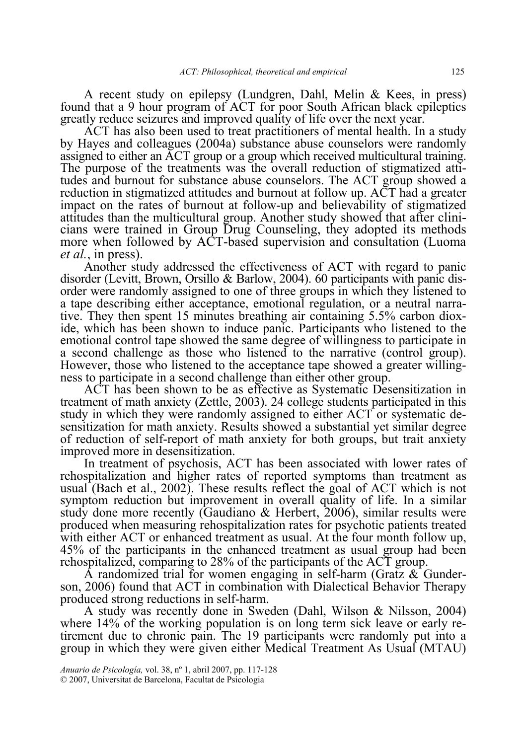A recent study on epilepsy (Lundgren, Dahl, Melin & Kees, in press) found that a 9 hour program of ACT for poor South African black epileptics greatly reduce seizures and improved quality of life over the next year.

 ACT has also been used to treat practitioners of mental health. In a study by Hayes and colleagues (2004a) substance abuse counselors were randomly assigned to either an ACT group or a group which received multicultural training. The purpose of the treatments was the overall reduction of stigmatized attitudes and burnout for substance abuse counselors. The ACT group showed a reduction in stigmatized attitudes and burnout at follow up. ACT had a greater impact on the rates of burnout at follow-up and believability of stigmatized attitudes than the multicultural group. Another study showed that after clinicians were trained in Group Drug Counseling, they adopted its methods more when followed by ACT-based supervision and consultation (Luoma *et al.*, in press).

 Another study addressed the effectiveness of ACT with regard to panic disorder (Levitt, Brown, Orsillo & Barlow, 2004). 60 participants with panic disorder were randomly assigned to one of three groups in which they listened to a tape describing either acceptance, emotional regulation, or a neutral narrative. They then spent 15 minutes breathing air containing 5.5% carbon dioxide, which has been shown to induce panic. Participants who listened to the emotional control tape showed the same degree of willingness to participate in a second challenge as those who listened to the narrative (control group). However, those who listened to the acceptance tape showed a greater willingness to participate in a second challenge than either other group.

 ACT has been shown to be as effective as Systematic Desensitization in treatment of math anxiety (Zettle, 2003). 24 college students participated in this study in which they were randomly assigned to either ACT or systematic desensitization for math anxiety. Results showed a substantial yet similar degree of reduction of self-report of math anxiety for both groups, but trait anxiety improved more in desensitization.

 In treatment of psychosis, ACT has been associated with lower rates of rehospitalization and higher rates of reported symptoms than treatment as usual (Bach et al., 2002). These results reflect the goal of ACT which is not symptom reduction but improvement in overall quality of life. In a similar study done more recently (Gaudiano & Herbert, 2006), similar results were produced when measuring rehospitalization rates for psychotic patients treated with either ACT or enhanced treatment as usual. At the four month follow up, 45% of the participants in the enhanced treatment as usual group had been rehospitalized, comparing to 28% of the participants of the ACT group.

A randomized trial for women engaging in self-harm (Gratz  $\&$  Gunderson, 2006) found that ACT in combination with Dialectical Behavior Therapy produced strong reductions in self-harm.

 A study was recently done in Sweden (Dahl, Wilson & Nilsson, 2004) where 14% of the working population is on long term sick leave or early retirement due to chronic pain. The 19 participants were randomly put into a group in which they were given either Medical Treatment As Usual (MTAU)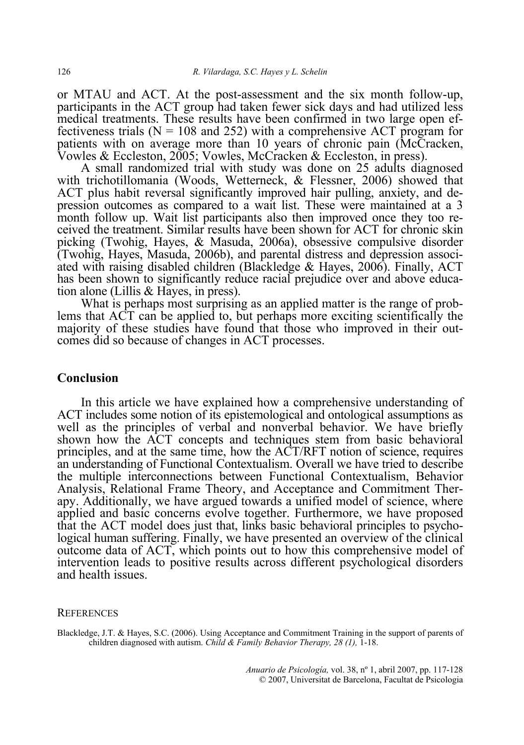or MTAU and ACT. At the post-assessment and the six month follow-up, participants in the ACT group had taken fewer sick days and had utilized less medical treatments. These results have been confirmed in two large open effectiveness trials ( $N = 108$  and 252) with a comprehensive ACT program for patients with on average more than 10 years of chronic pain (McCracken, Vowles & Eccleston, 2005; Vowles, McCracken & Eccleston, in press).

 A small randomized trial with study was done on 25 adults diagnosed with trichotillomania (Woods, Wetterneck, & Flessner, 2006) showed that ACT plus habit reversal significantly improved hair pulling, anxiety, and depression outcomes as compared to a wait list. These were maintained at a 3 month follow up. Wait list participants also then improved once they too received the treatment. Similar results have been shown for ACT for chronic skin picking (Twohig, Hayes, & Masuda, 2006a), obsessive compulsive disorder (Twohig, Hayes, Masuda, 2006b), and parental distress and depression associated with raising disabled children (Blackledge & Hayes, 2006). Finally, ACT has been shown to significantly reduce racial prejudice over and above education alone (Lillis & Hayes, in press).

 What is perhaps most surprising as an applied matter is the range of problems that ACT can be applied to, but perhaps more exciting scientifically the majority of these studies have found that those who improved in their outcomes did so because of changes in ACT processes.

## **Conclusion**

 In this article we have explained how a comprehensive understanding of ACT includes some notion of its epistemological and ontological assumptions as well as the principles of verbal and nonverbal behavior. We have briefly shown how the ACT concepts and techniques stem from basic behavioral principles, and at the same time, how the ACT/RFT notion of science, requires an understanding of Functional Contextualism. Overall we have tried to describe the multiple interconnections between Functional Contextualism, Behavior Analysis, Relational Frame Theory, and Acceptance and Commitment Therapy. Additionally, we have argued towards a unified model of science, where applied and basic concerns evolve together. Furthermore, we have proposed that the ACT model does just that, links basic behavioral principles to psychological human suffering. Finally, we have presented an overview of the clinical outcome data of ACT, which points out to how this comprehensive model of intervention leads to positive results across different psychological disorders and health issues.

#### **REFERENCES**

Blackledge, J.T. & Hayes, S.C. (2006). Using Acceptance and Commitment Training in the support of parents of children diagnosed with autism. *Child & Family Behavior Therapy, 28 (1),* 1-18.

> *Anuario de Psicología,* vol. 38, nº 1, abril 2007, pp. 117-128 © 2007, Universitat de Barcelona, Facultat de Psicologia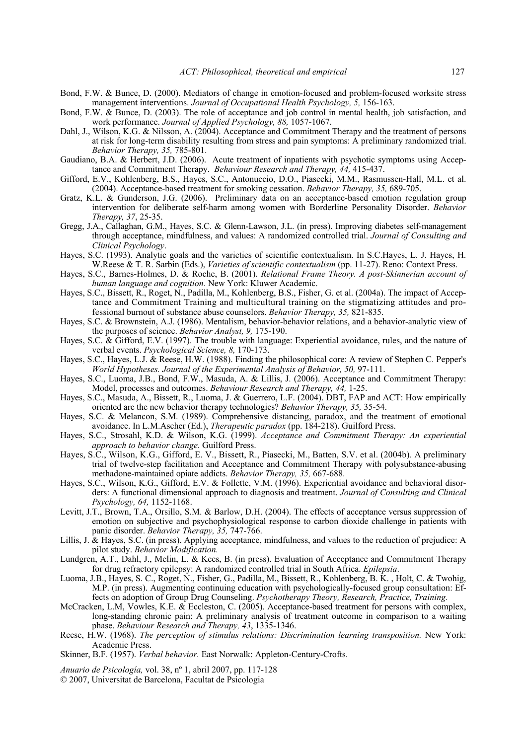- Bond, F.W. & Bunce, D. (2000). Mediators of change in emotion-focused and problem-focused worksite stress management interventions. *Journal of Occupational Health Psychology, 5,* 156-163.
- Bond, F.W. & Bunce, D. (2003). The role of acceptance and job control in mental health, job satisfaction, and work performance. *Journal of Applied Psychology, 88,* 1057-1067.
- Dahl, J., Wilson, K.G. & Nilsson, A. (2004). Acceptance and Commitment Therapy and the treatment of persons at risk for long-term disability resulting from stress and pain symptoms: A preliminary randomized trial. *Behavior Therapy, 35,* 785-801.
- Gaudiano, B.A. & Herbert, J.D. (2006). Acute treatment of inpatients with psychotic symptoms using Acceptance and Commitment Therapy. *Behaviour Research and Therapy, 44,* 415-437.
- Gifford, E.V., Kohlenberg, B.S., Hayes, S.C., Antonuccio, D.O., Piasecki, M.M., Rasmussen-Hall, M.L. et al. (2004). Acceptance-based treatment for smoking cessation. *Behavior Therapy, 35,* 689-705.
- Gratz, K.L. & Gunderson, J.G. (2006). Preliminary data on an acceptance-based emotion regulation group intervention for deliberate self-harm among women with Borderline Personality Disorder. *Behavior Therapy, 37*, 25-35.
- Gregg, J.A., Callaghan, G.M., Hayes, S.C. & Glenn-Lawson, J.L. (in press). Improving diabetes self-management through acceptance, mindfulness, and values: A randomized controlled trial. *Journal of Consulting and Clinical Psychology*.
- Hayes, S.C. (1993). Analytic goals and the varieties of scientific contextualism. In S.C.Hayes, L. J. Hayes, H. W.Reese & T. R. Sarbin (Eds.), *Varieties of scientific contextualism* (pp. 11-27). Reno: Context Press.
- Hayes, S.C., Barnes-Holmes, D. & Roche, B. (2001). *Relational Frame Theory. A post-Skinnerian account of human language and cognition.* New York: Kluwer Academic.
- Hayes, S.C., Bissett, R., Roget, N., Padilla, M., Kohlenberg, B.S., Fisher, G. et al. (2004a). The impact of Acceptance and Commitment Training and multicultural training on the stigmatizing attitudes and professional burnout of substance abuse counselors. *Behavior Therapy, 35,* 821-835.
- Hayes, S.C. & Brownstein, A.J. (1986). Mentalism, behavior-behavior relations, and a behavior-analytic view of the purposes of science. *Behavior Analyst, 9,* 175-190.
- Hayes, S.C. & Gifford, E.V. (1997). The trouble with language: Experiential avoidance, rules, and the nature of verbal events. *Psychological Science, 8,* 170-173.
- Hayes, S.C., Hayes, L.J. & Reese, H.W. (1988). Finding the philosophical core: A review of Stephen C. Pepper's *World Hypotheses. Journal of the Experimental Analysis of Behavior, 50, 97-111.*
- Hayes, S.C., Luoma, J.B., Bond, F.W., Masuda, A. & Lillis, J. (2006). Acceptance and Commitment Therapy: Model, processes and outcomes. *Behaviour Research and Therapy, 44,* 1-25.
- Hayes, S.C., Masuda, A., Bissett, R., Luoma, J. & Guerrero, L.F. (2004). DBT, FAP and ACT: How empirically oriented are the new behavior therapy technologies? *Behavior Therapy, 35,* 35-54.
- Hayes, S.C. & Melancon, S.M. (1989). Comprehensive distancing, paradox, and the treatment of emotional avoidance. In L.M.Ascher (Ed.), *Therapeutic paradox* (pp. 184-218). Guilford Press.
- Hayes, S.C., Strosahl, K.D. & Wilson, K.G. (1999). *Acceptance and Commitment Therapy: An experiential approach to behavior change.* Guilford Press.
- Hayes, S.C., Wilson, K.G., Gifford, E. V., Bissett, R., Piasecki, M., Batten, S.V. et al. (2004b). A preliminary trial of twelve-step facilitation and Acceptance and Commitment Therapy with polysubstance-abusing methadone-maintained opiate addicts. *Behavior Therapy, 35,* 667-688.
- Hayes, S.C., Wilson, K.G., Gifford, E.V. & Follette, V.M. (1996). Experiential avoidance and behavioral disorders: A functional dimensional approach to diagnosis and treatment. *Journal of Consulting and Clinical Psychology, 64,* 1152-1168.
- Levitt, J.T., Brown, T.A., Orsillo, S.M. & Barlow, D.H. (2004). The effects of acceptance versus suppression of emotion on subjective and psychophysiological response to carbon dioxide challenge in patients with panic disorder. *Behavior Therapy, 35,* 747-766.
- Lillis, J. & Hayes, S.C. (in press). Applying acceptance, mindfulness, and values to the reduction of prejudice: A pilot study. *Behavior Modification.*
- Lundgren, A.T., Dahl, J., Melin, L. & Kees, B. (in press). Evaluation of Acceptance and Commitment Therapy for drug refractory epilepsy: A randomized controlled trial in South Africa. *Epilepsia*.
- Luoma, J.B., Hayes, S. C., Roget, N., Fisher, G., Padilla, M., Bissett, R., Kohlenberg, B. K. , Holt, C. & Twohig, M.P. (in press). Augmenting continuing education with psychologically-focused group consultation: Effects on adoption of Group Drug Counseling. *Psychotherapy Theory, Research, Practice, Training.*
- McCracken, L.M, Vowles, K.E. & Eccleston, C. (2005). Acceptance-based treatment for persons with complex, long-standing chronic pain: A preliminary analysis of treatment outcome in comparison to a waiting phase. *Behaviour Research and Therapy, 43*, 1335-1346.
- Reese, H.W. (1968). *The perception of stimulus relations: Discrimination learning transposition*. New York: Academic Press.
- Skinner, B.F. (1957). *Verbal behavior.* East Norwalk: Appleton-Century-Crofts.

*Anuario de Psicología,* vol. 38, nº 1, abril 2007, pp. 117-128

© 2007, Universitat de Barcelona, Facultat de Psicologia